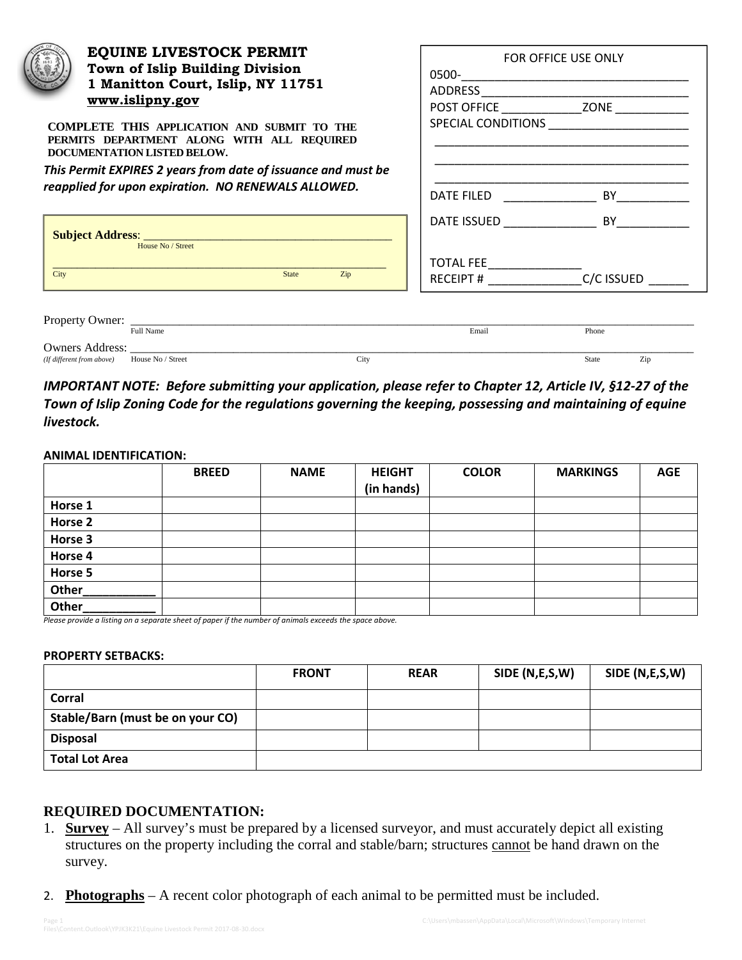| <b>EQUINE LIVESTOCK PERMIT</b><br>Town of Islip Building Division<br>1 Manitton Court, Islip, NY 11751                                                                                                                                                              | FOR OFFICE USE ONLY |                                                                                                                                                                                                                                     |  |
|---------------------------------------------------------------------------------------------------------------------------------------------------------------------------------------------------------------------------------------------------------------------|---------------------|-------------------------------------------------------------------------------------------------------------------------------------------------------------------------------------------------------------------------------------|--|
| www.islipny.gov<br>COMPLETE THIS APPLICATION AND SUBMIT TO THE<br>PERMITS DEPARTMENT ALONG WITH ALL REQUIRED<br>DOCUMENTATION LISTED BELOW.<br>This Permit EXPIRES 2 years from date of issuance and must be<br>reapplied for upon expiration. NO RENEWALS ALLOWED. | DATE FILED          | <b>BY</b> Provide the Second Second Second Second Second Second Second Second Second Second Second Second Second Second Second Second Second Second Second Second Second Second Second Second Second Second Second Second Second Se |  |
|                                                                                                                                                                                                                                                                     |                     | DATE ISSUED BY                                                                                                                                                                                                                      |  |
| House No / Street<br>City<br><b>State</b><br>Zip                                                                                                                                                                                                                    | TOTAL FEE           | RECEIPT # ____________________________C/C ISSUED                                                                                                                                                                                    |  |
| Full Name                                                                                                                                                                                                                                                           | Email               | Phone                                                                                                                                                                                                                               |  |
| (If different from above) House No / Street<br>City                                                                                                                                                                                                                 |                     | Zip<br>State                                                                                                                                                                                                                        |  |

## *IMPORTANT NOTE: Before submitting your application, please refer to Chapter 12, Article IV, §12-27 of the Town of Islip Zoning Code for the regulations governing the keeping, possessing and maintaining of equine livestock.*

## **ANIMAL IDENTIFICATION:**

|            | <b>BREED</b>                               | <b>NAME</b>      | <b>HEIGHT</b><br>(in hands) | <b>COLOR</b> | <b>MARKINGS</b> | <b>AGE</b> |
|------------|--------------------------------------------|------------------|-----------------------------|--------------|-----------------|------------|
| Horse 1    |                                            |                  |                             |              |                 |            |
| Horse 2    |                                            |                  |                             |              |                 |            |
| Horse 3    |                                            |                  |                             |              |                 |            |
| Horse 4    |                                            |                  |                             |              |                 |            |
| Horse 5    |                                            |                  |                             |              |                 |            |
| Other      |                                            |                  |                             |              |                 |            |
| Other<br>. | $\sim$ $\sim$ $\sim$ $\sim$ $\sim$<br>$-2$ | .<br>.<br>$\sim$ |                             |              |                 |            |

*Please provide a listing on a separate sheet of paper if the number of animals exceeds the space above.* 

## **PROPERTY SETBACKS:**

|                                  | <b>FRONT</b> | <b>REAR</b> | SIDE (N,E,S,W) | SIDE (N,E,S,W) |
|----------------------------------|--------------|-------------|----------------|----------------|
| Corral                           |              |             |                |                |
| Stable/Barn (must be on your CO) |              |             |                |                |
| <b>Disposal</b>                  |              |             |                |                |
| <b>Total Lot Area</b>            |              |             |                |                |

## **REQUIRED DOCUMENTATION:**

- 1. **Survey** All survey's must be prepared by a licensed surveyor, and must accurately depict all existing structures on the property including the corral and stable/barn; structures cannot be hand drawn on the survey.
- 2. **Photographs** A recent color photograph of each animal to be permitted must be included.